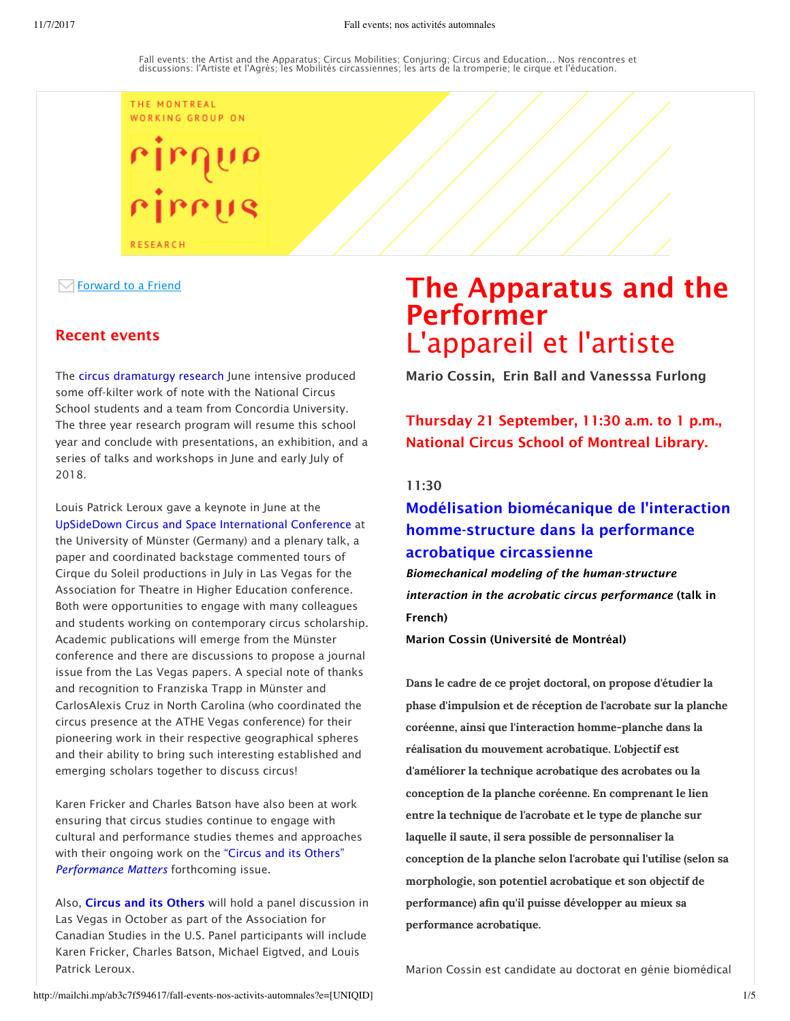THE MONTREAL WORKING GROUP ON

**RESEARCH** 

## $\boxdot$  Forward to a Friend

## Recent events

The circus dramaturgy research June intensive produced some off-kilter work of note with the National Circus School students and a team from Concordia University. The three year research program will resume this school year and conclude with presentations, an exhibition, and a series of talks and workshops in June and early July of 2018.

Louis Patrick Leroux gave a keynote in June at the UpSideDown Circus and Space International Conference at the University of Münster (Germany) and a plenary talk, a paper and coordinated backstage commented tours of Cirque du Soleil productions in July in Las Vegas for the Association for Theatre in Higher Education conference. Both were opportunities to engage with many colleagues and students working on contemporary circus scholarship. Academic publications will emerge from the Münster conference and there are discussions to propose a journal issue from the Las Vegas papers. A special note of thanks and recognition to Franziska Trapp in Münster and CarlosAlexis Cruz in North Carolina (who coordinated the circus presence at the ATHE Vegas conference) for their pioneering work in their respective geographical spheres and their ability to bring such interesting established and emerging scholars together to discuss circus!

Karen Fricker and Charles Batson have also been at work ensuring that circus studies continue to engage with cultural and performance studies themes and approaches with their ongoing work on the "Circus and its Others" *Performance Matters* forthcoming issue.

Also, Circus and its Others will hold a panel discussion in Las Vegas in October as part of the Association for Canadian Studies in the U.S. Panel participants will include Karen Fricker, Charles Batson, Michael Eigtved, and Louis Patrick Leroux.

# The Apparatus and the **Performer** L'appareil et l'artiste

Mario Cossin, Erin Ball and Vanesssa Furlong

Thursday 21 September, 11:30 a.m. to 1 p.m., National Circus School of Montreal Library.

## 11:30

# Modélisation biomécanique de l'interaction homme-structure dans la performance acrobatique circassienne

*Biomechanical modeling of the human-structure interaction in the acrobatic circus performance* (talk in French)

Marion Cossin (Université de Montréal)

**Dans le cadre de ce projet doctoral, on propose d'étudier la phase d'impulsion et de réception de l'acrobate sur la planche coréenne, ainsi que l'interaction homme-planche dans la réalisation du mouvement acrobatique. L'objectif est d'améliorer la technique acrobatique des acrobates ou la conception de la planche coréenne. En comprenant le lien entre la technique de l'acrobate et le type de planche sur laquelle il saute, il sera possible de personnaliser la conception de la planche selon l'acrobate qui l'utilise (selon sa morphologie, son potentiel acrobatique et son objectif de performance) an qu'il puisse développer au mieux sa performance acrobatique.**

Marion Cossin est candidate au doctorat en génie biomédical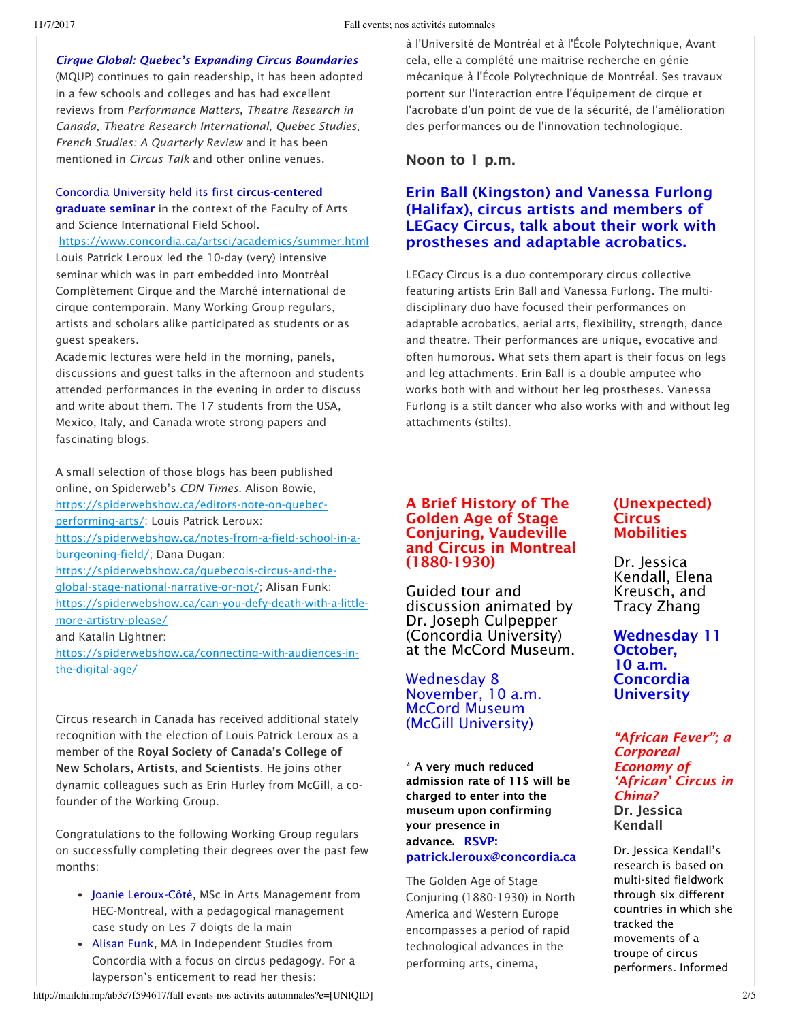#### *Cirque Global: Quebec's Expanding Circus Boundaries*

(MQUP) continues to gain readership, it has been adopted in a few schools and colleges and has had excellent reviews from *Performance Matters*, *Theatre Research in Canada*, *Theatre Research International, Quebec Studies*, *French Studies: A Quarterly Review* and it has been mentioned in *Circus Talk* and other online venues.

#### Concordia University held its first circus-centered graduate seminar in the context of the Faculty of Arts and Science International Field School.

https://www.concordia.ca/artsci/academics/summer.html Louis Patrick Leroux led the 10-day (very) intensive seminar which was in part embedded into Montréal Complètement Cirque and the Marché international de cirque contemporain. Many Working Group regulars, artists and scholars alike participated as students or as guest speakers.

Academic lectures were held in the morning, panels, discussions and guest talks in the afternoon and students attended performances in the evening in order to discuss and write about them. The 17 students from the USA, Mexico, Italy, and Canada wrote strong papers and fascinating blogs.

A small selection of those blogs has been published online, on Spiderweb's *CDN Times*. Alison Bowie, https://spiderwebshow.ca/editors-note-on-quebecperforming-arts/; Louis Patrick Leroux: https://spiderwebshow.ca/notes-from-a-field-school-in-aburgeoning-field/; Dana Dugan: https://spiderwebshow.ca/quebecois-circus-and-theglobal-stage-national-narrative-or-not/; Alisan Funk: https://spiderwebshow.ca/can-you-defy-death-with-a-littlemore-artistry-please/ and Katalin Lightner: https://spiderwebshow.ca/connecting-with-audiences-in-

the-digital-age/

Circus research in Canada has received additional stately recognition with the election of Louis Patrick Leroux as a member of the Royal Society of Canada's College of New Scholars, Artists, and Scientists. He joins other dynamic colleagues such as Erin Hurley from McGill, a cofounder of the Working Group.

Congratulations to the following Working Group regulars on successfully completing their degrees over the past few months:

- Joanie Leroux-Côté, MSc in Arts Management from HEC-Montreal, with a pedagogical management case study on Les 7 doigts de la main
- Alisan Funk, MA in Independent Studies from Concordia with a focus on circus pedagogy. For a layperson's enticement to read her thesis:

à l'Université de Montréal et à l'École Polytechnique, Avant cela, elle a complété une maitrise recherche en génie mécanique à l'École Polytechnique de Montréal. Ses travaux portent sur l'interaction entre l'équipement de cirque et l'acrobate d'un point de vue de la sécurité, de l'amélioration des performances ou de l'innovation technologique.

#### Noon to 1 p.m.

## Erin Ball (Kingston) and Vanessa Furlong (Halifax), circus artists and members of LEGacy Circus, talk about their work with prostheses and adaptable acrobatics.

LEGacy Circus is a duo contemporary circus collective featuring artists Erin Ball and Vanessa Furlong. The multidisciplinary duo have focused their performances on adaptable acrobatics, aerial arts, flexibility, strength, dance and theatre. Their performances are unique, evocative and often humorous. What sets them apart is their focus on legs and leg attachments. Erin Ball is a double amputee who works both with and without her leg prostheses. Vanessa Furlong is a stilt dancer who also works with and without leg attachments (stilts).

#### A Brief History of The Golden Age of Stage Conjuring, Vaudeville and Circus in Montreal (1880-1930)

Guided tour and discussion animated by Dr. Joseph Culpepper (Concordia University) at the McCord Museum.

Wednesday 8 November, 10 a.m. McCord Museum (McGill University)

\* A very much reduced admission rate of 11\$ will be charged to enter into the museum upon confirming your presence in advance. RSVP: patrick.leroux@concordia.ca

The Golden Age of Stage Conjuring (1880-1930) in North America and Western Europe encompasses a period of rapid technological advances in the performing arts, cinema,

#### (Unexpected) **Circus** Mobilities

Dr. Jessica Kendall, Elena Kreusch, and Tracy Zhang

Wednesday 11 October, 10 a.m. Concordia **University** 

#### *"African Fever"; a Corporeal Economy of 'African' Circus in China?*  Dr. Jessica Kendall

Dr. Jessica Kendall's research is based on multi-sited fieldwork through six different countries in which she tracked the movements of a troupe of circus performers. Informed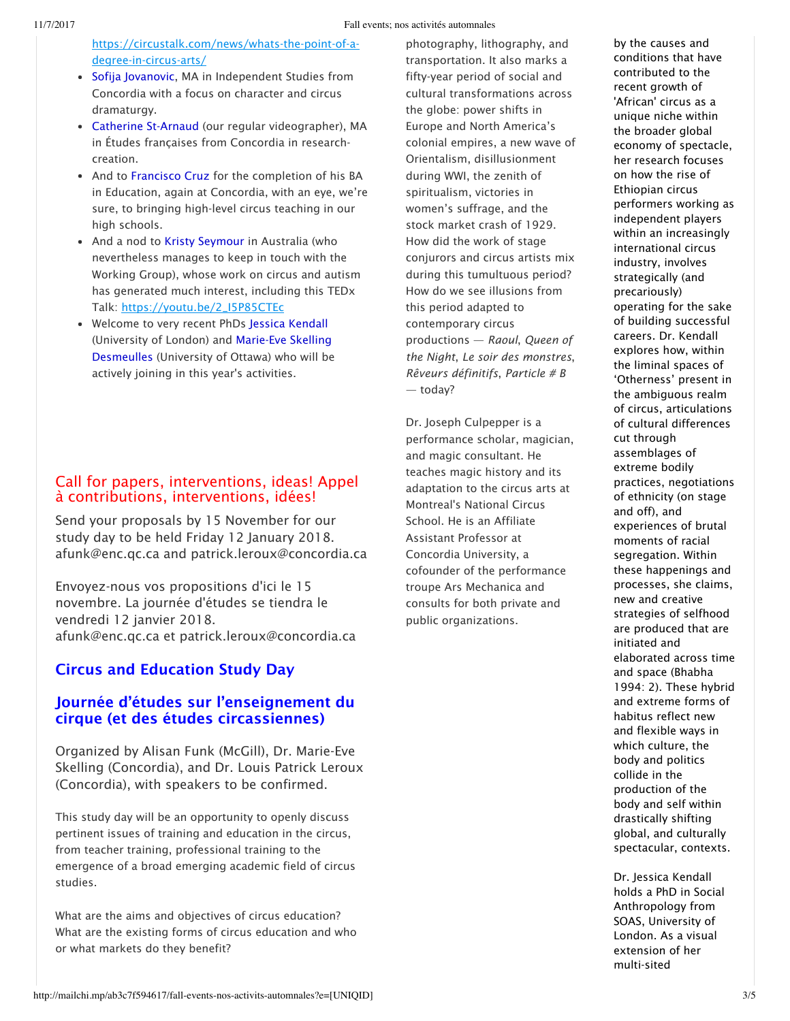https://circustalk.com/news/whats-the-point-of-adegree-in-circus-arts/

- Sofija Jovanovic, MA in Independent Studies from Concordia with a focus on character and circus dramaturgy.
- Catherine St-Arnaud (our regular videographer), MA in Études françaises from Concordia in researchcreation.
- And to Francisco Cruz for the completion of his BA in Education, again at Concordia, with an eye, we're sure, to bringing high-level circus teaching in our high schools.
- And a nod to Kristy Seymour in Australia (who nevertheless manages to keep in touch with the Working Group), whose work on circus and autism has generated much interest, including this TEDx Talk: https://youtu.be/2\_I5P85CTEc
- Welcome to very recent PhDs Jessica Kendall (University of London) and Marie-Eve Skelling Desmeulles (University of Ottawa) who will be actively joining in this year's activities.

## Call for papers, interventions, ideas! Appel à contributions, interventions, idées!

Send your proposals by 15 November for our study day to be held Friday 12 January 2018. afunk@enc.qc.ca and patrick.leroux@concordia.ca

Envoyez-nous vos propositions d'ici le 15 novembre. La journée d'études se tiendra le vendredi 12 janvier 2018. afunk@enc.qc.ca et patrick.leroux@concordia.ca

## Circus and Education Study Day

## Journée d'études sur l'enseignement du cirque (et des études circassiennes)

Organized by Alisan Funk (McGill), Dr. Marie-Eve Skelling (Concordia), and Dr. Louis Patrick Leroux (Concordia), with speakers to be confirmed.

This study day will be an opportunity to openly discuss pertinent issues of training and education in the circus, from teacher training, professional training to the emergence of a broad emerging academic field of circus studies.

What are the aims and objectives of circus education? What are the existing forms of circus education and who or what markets do they benefit?

photography, lithography, and transportation. It also marks a fifty-year period of social and cultural transformations across the globe: power shifts in Europe and North America's colonial empires, a new wave of Orientalism, disillusionment during WWI, the zenith of spiritualism, victories in women's suffrage, and the stock market crash of 1929. How did the work of stage conjurors and circus artists mix during this tumultuous period? How do we see illusions from this period adapted to contemporary circus productions — *Raoul*, *Queen of the Night*, *Le soir des monstres*, *Rêveurs définitifs*, *Particle # B* — today?

Dr. Joseph Culpepper is a performance scholar, magician, and magic consultant. He teaches magic history and its adaptation to the circus arts at Montreal's National Circus School. He is an Affiliate Assistant Professor at Concordia University, a cofounder of the performance troupe Ars Mechanica and consults for both private and public organizations.

by the causes and conditions that have contributed to the recent growth of 'African' circus as a unique niche within the broader global economy of spectacle, her research focuses on how the rise of Ethiopian circus performers working as independent players within an increasingly international circus industry, involves strategically (and precariously) operating for the sake of building successful careers. Dr. Kendall explores how, within the liminal spaces of 'Otherness' present in the ambiguous realm of circus, articulations of cultural differences cut through assemblages of extreme bodily practices, negotiations of ethnicity (on stage and off), and experiences of brutal moments of racial segregation. Within these happenings and processes, she claims, new and creative strategies of selfhood are produced that are initiated and elaborated across time and space (Bhabha 1994: 2). These hybrid and extreme forms of habitus reflect new and flexible ways in which culture, the body and politics collide in the production of the body and self within drastically shifting global, and culturally spectacular, contexts.

Dr. Jessica Kendall holds a PhD in Social Anthropology from SOAS, University of London. As a visual extension of her multi-sited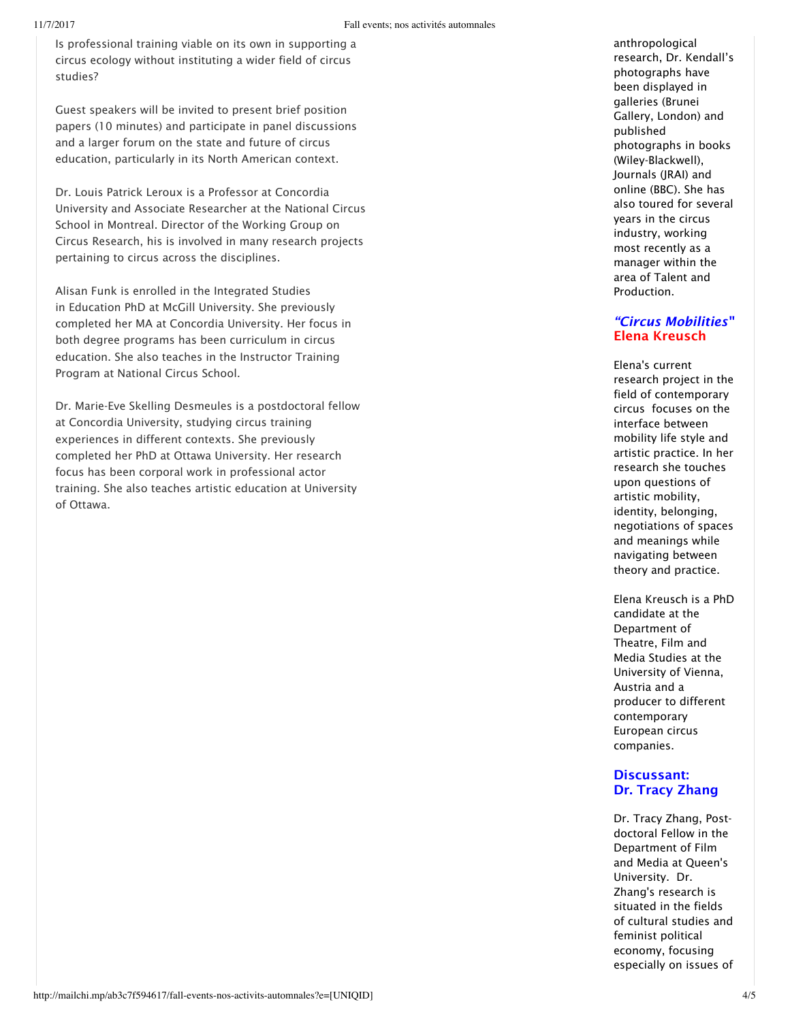Is professional training viable on its own in supporting a circus ecology without instituting a wider field of circus studies?

Guest speakers will be invited to present brief position papers (10 minutes) and participate in panel discussions and a larger forum on the state and future of circus education, particularly in its North American context.

Dr. Louis Patrick Leroux is a Professor at Concordia University and Associate Researcher at the National Circus School in Montreal. Director of the Working Group on Circus Research, his is involved in many research projects pertaining to circus across the disciplines.

Alisan Funk is enrolled in the Integrated Studies in Education PhD at McGill University. She previously completed her MA at Concordia University. Her focus in both degree programs has been curriculum in circus education. She also teaches in the Instructor Training Program at National Circus School.

Dr. Marie-Eve Skelling Desmeules is a postdoctoral fellow at Concordia University, studying circus training experiences in different contexts. She previously completed her PhD at Ottawa University. Her research focus has been corporal work in professional actor training. She also teaches artistic education at University of Ottawa.

anthropological research, Dr. Kendall's photographs have been displayed in galleries (Brunei Gallery, London) and published photographs in books (Wiley-Blackwell), Journals (JRAI) and online (BBC). She has also toured for several years in the circus industry, working most recently as a manager within the area of Talent and **Production** 

## *"Circus Mobilities"* Elena Kreusch

Elena's current research project in the field of contemporary circus focuses on the interface between mobility life style and artistic practice. In her research she touches upon questions of artistic mobility, identity, belonging, negotiations of spaces and meanings while navigating between theory and practice.

Elena Kreusch is a PhD candidate at the Department of Theatre, Film and Media Studies at the University of Vienna, Austria and a producer to different contemporary European circus companies.

#### Discussant: Dr. Tracy Zhang

Dr. Tracy Zhang, Postdoctoral Fellow in the Department of Film and Media at Queen's University. Dr. Zhang's research is situated in the fields of cultural studies and feminist political economy, focusing especially on issues of